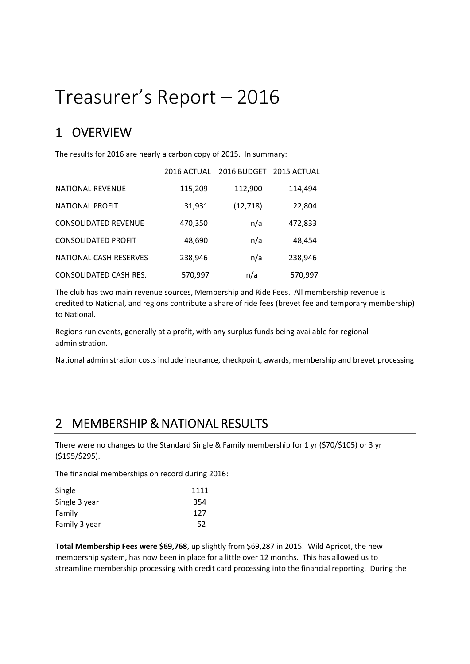# Treasurer's Report – 2016

### 1 OVERVIEW

The results for 2016 are nearly a carbon copy of 2015. In summary:

|                               | 2016 ACTUAL | 2016 BUDGET 2015 ACTUAL |         |
|-------------------------------|-------------|-------------------------|---------|
| <b>NATIONAL REVENUE</b>       | 115,209     | 112,900                 | 114,494 |
| <b>NATIONAL PROFIT</b>        | 31,931      | (12, 718)               | 22,804  |
| <b>CONSOLIDATED REVENUE</b>   | 470,350     | n/a                     | 472,833 |
| <b>CONSOLIDATED PROFIT</b>    | 48,690      | n/a                     | 48,454  |
| NATIONAL CASH RESERVES        | 238,946     | n/a                     | 238,946 |
| <b>CONSOLIDATED CASH RES.</b> | 570,997     | n/a                     | 570,997 |

The club has two main revenue sources, Membership and Ride Fees. All membership revenue is credited to National, and regions contribute a share of ride fees (brevet fee and temporary membership) to National.

Regions run events, generally at a profit, with any surplus funds being available for regional administration.

National administration costs include insurance, checkpoint, awards, membership and brevet processing

### 2 MEMBERSHIP & NATIONAL RESULTS

There were no changes to the Standard Single & Family membership for 1 yr (\$70/\$105) or 3 yr (\$195/\$295).

The financial memberships on record during 2016:

| Single        | 1111 |
|---------------|------|
| Single 3 year | 354  |
| Family        | 127  |
| Family 3 year | 52   |

Total Membership Fees were \$69,768, up slightly from \$69,287 in 2015. Wild Apricot, the new membership system, has now been in place for a little over 12 months. This has allowed us to streamline membership processing with credit card processing into the financial reporting. During the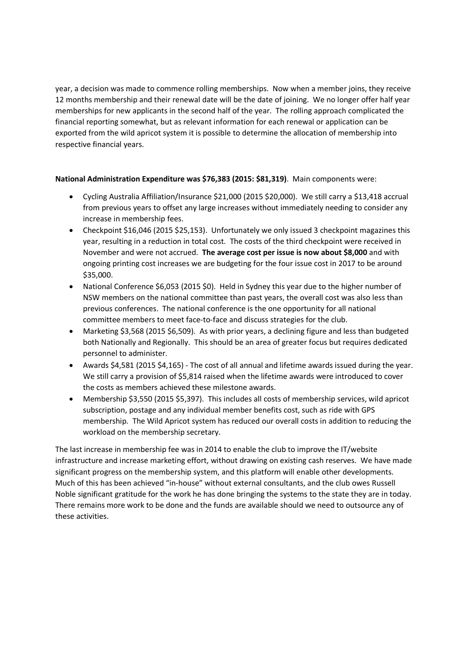year, a decision was made to commence rolling memberships. Now when a member joins, they receive 12 months membership and their renewal date will be the date of joining. We no longer offer half year memberships for new applicants in the second half of the year. The rolling approach complicated the financial reporting somewhat, but as relevant information for each renewal or application can be exported from the wild apricot system it is possible to determine the allocation of membership into respective financial years.

#### National Administration Expenditure was \$76,383 (2015: \$81,319). Main components were:

- Cycling Australia Affiliation/Insurance \$21,000 (2015 \$20,000). We still carry a \$13,418 accrual from previous years to offset any large increases without immediately needing to consider any increase in membership fees.
- Checkpoint \$16,046 (2015 \$25,153). Unfortunately we only issued 3 checkpoint magazines this year, resulting in a reduction in total cost. The costs of the third checkpoint were received in November and were not accrued. The average cost per issue is now about \$8,000 and with ongoing printing cost increases we are budgeting for the four issue cost in 2017 to be around \$35,000.
- National Conference \$6,053 (2015 \$0). Held in Sydney this year due to the higher number of NSW members on the national committee than past years, the overall cost was also less than previous conferences. The national conference is the one opportunity for all national committee members to meet face-to-face and discuss strategies for the club.
- Marketing \$3,568 (2015 \$6,509). As with prior years, a declining figure and less than budgeted both Nationally and Regionally. This should be an area of greater focus but requires dedicated personnel to administer.
- Awards \$4,581 (2015 \$4,165) The cost of all annual and lifetime awards issued during the year. We still carry a provision of \$5,814 raised when the lifetime awards were introduced to cover the costs as members achieved these milestone awards.
- Membership \$3,550 (2015 \$5,397). This includes all costs of membership services, wild apricot subscription, postage and any individual member benefits cost, such as ride with GPS membership. The Wild Apricot system has reduced our overall costs in addition to reducing the workload on the membership secretary.

The last increase in membership fee was in 2014 to enable the club to improve the IT/website infrastructure and increase marketing effort, without drawing on existing cash reserves. We have made significant progress on the membership system, and this platform will enable other developments. Much of this has been achieved "in-house" without external consultants, and the club owes Russell Noble significant gratitude for the work he has done bringing the systems to the state they are in today. There remains more work to be done and the funds are available should we need to outsource any of these activities.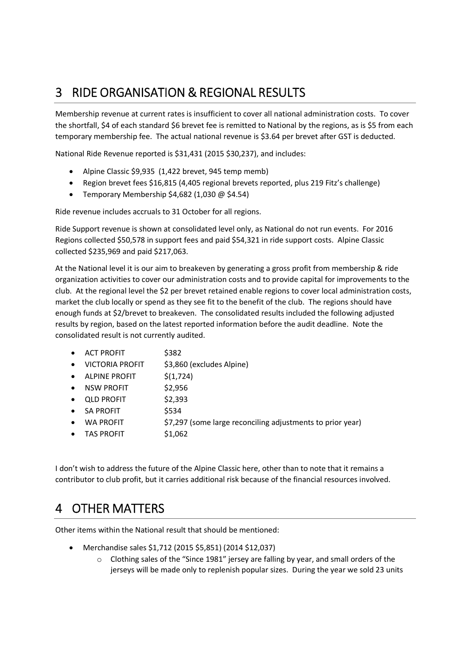## 3 RIDE ORGANISATION & REGIONAL RESULTS

Membership revenue at current rates is insufficient to cover all national administration costs. To cover the shortfall, \$4 of each standard \$6 brevet fee is remitted to National by the regions, as is \$5 from each temporary membership fee. The actual national revenue is \$3.64 per brevet after GST is deducted.

National Ride Revenue reported is \$31,431 (2015 \$30,237), and includes:

- Alpine Classic \$9,935 (1,422 brevet, 945 temp memb)
- Region brevet fees \$16,815 (4,405 regional brevets reported, plus 219 Fitz's challenge)
- Temporary Membership \$4,682 (1,030  $@$  \$4.54)

Ride revenue includes accruals to 31 October for all regions.

Ride Support revenue is shown at consolidated level only, as National do not run events. For 2016 Regions collected \$50,578 in support fees and paid \$54,321 in ride support costs. Alpine Classic collected \$235,969 and paid \$217,063.

At the National level it is our aim to breakeven by generating a gross profit from membership & ride organization activities to cover our administration costs and to provide capital for improvements to the club. At the regional level the \$2 per brevet retained enable regions to cover local administration costs, market the club locally or spend as they see fit to the benefit of the club. The regions should have enough funds at \$2/brevet to breakeven. The consolidated results included the following adjusted results by region, based on the latest reported information before the audit deadline. Note the consolidated result is not currently audited.

- ACT PROFIT \$382
- VICTORIA PROFIT \$3,860 (excludes Alpine)
- $\bullet$  ALPINE PROFIT  $\lesssim$  (1,724)
- NSW PROFIT \$2,956
- QLD PROFIT \$2,393
- SA PROFIT \$534
- WA PROFIT  $\frac{57,297}{200}$  (some large reconciling adjustments to prior year)
- $\bullet$  TAS PROFIT  $$1,062$

I don't wish to address the future of the Alpine Classic here, other than to note that it remains a contributor to club profit, but it carries additional risk because of the financial resources involved.

### 4 OTHER MATTERS

Other items within the National result that should be mentioned:

- Merchandise sales \$1,712 (2015 \$5,851) (2014 \$12,037)
	- o Clothing sales of the "Since 1981" jersey are falling by year, and small orders of the jerseys will be made only to replenish popular sizes. During the year we sold 23 units